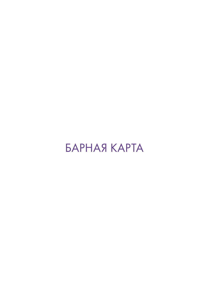# БАРНАЯ КАРТА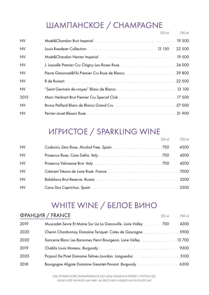# ШАМПАНСКОЕ / CHAMPAGNE

|           |                                                 | $375$ ml | 750 ml |
|-----------|-------------------------------------------------|----------|--------|
| <b>NV</b> |                                                 |          | 19 500 |
| <b>NV</b> |                                                 |          | 22 500 |
| <b>NV</b> |                                                 |          | 19 500 |
| <b>NV</b> |                                                 |          |        |
| <b>NV</b> | Pierre Gimonnet&Fils Premier Cru Rose de Blancs |          | 29 800 |
| <b>NV</b> |                                                 |          | 22 500 |
| <b>NV</b> |                                                 |          |        |
| 2015      |                                                 |          | 17 500 |
| <b>NV</b> |                                                 |          | 27 000 |
| <b>NV</b> |                                                 |          | 31 900 |

# ИГРИСТОЕ / SPARKLING WINE

|           | $12.5$ ml | 750 ml |
|-----------|-----------|--------|
| <b>NV</b> |           | 4500   |
| <b>NV</b> |           | 4200   |
| <b>NV</b> |           | 4200   |
| <b>NV</b> |           | 7000   |
| <b>NV</b> |           |        |
| <b>NV</b> |           |        |

# WHITE WINE / БЕЛОЕ ВИНО

|      | ФРАНЦИЯ / FRANCE                                                                  | $125$ ml | 750 ml |
|------|-----------------------------------------------------------------------------------|----------|--------|
| 2019 | Muscadet-Sevre Et Maine Sur Lie La Grenouille. Loire Valley [11, 11, 11, 11, 100] |          | 4200   |
| 2020 | Chenin Chardonnay Domaine Tariquet. Cotes de Gascogne                             |          | 5900   |
| 2020 | Sancerre Blanc Les Baronnes Henri Bourgeois. Loire Valley 13 700                  |          |        |
| 2019 |                                                                                   |          |        |
| 2020 |                                                                                   |          |        |
| 2018 |                                                                                   |          |        |

ГОД УРОЖАЯ МОЖЕТ ВАРЬИРОВАТЬСЯ. ВСЕ ЦЕНЫ УКАЗАНЫ В РУБЛЯХ С УЧЕТОМ НДС. PLEASE NOTE VINTAGES MAY VARY. ALL PRICES ARE IN RUBLES AND INCLUDES VAT.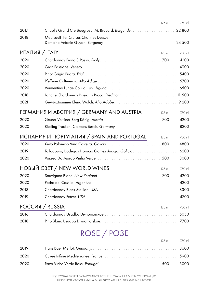|      |                                                   | 125 ml   | 750 ml  |
|------|---------------------------------------------------|----------|---------|
| 2017 | Chablis Grand Cru Bougros J. M. Brocard. Burgundy |          | 22 800  |
| 2018 | Meursault 1 er Cru Les Charmes Dessus             |          |         |
|      |                                                   |          | 24 500  |
|      | ИТАЛИЯ / ITALY                                    | 125 ml   | 750 ml  |
| 2020 |                                                   |          | 4200    |
| 2020 |                                                   |          | 4900    |
| 2020 |                                                   |          | 5400    |
| 2020 |                                                   |          | 5700    |
| 2020 |                                                   |          | 6500    |
| 2018 |                                                   |          | 11 500  |
| 2021 |                                                   |          | 9 2 0 0 |
|      | ГЕРМАНИЯ И АВСТРИЯ / GERMANY AND AUSTRIA          | $125$ ml | 750 ml  |
| 2020 |                                                   |          | 4200    |
| 2020 |                                                   |          | 8200    |
|      | ИСПАНИЯ И ПОРТУГАЛИЯ / SPAIN AND PORTUGAL         | 125 ml   | 750 ml  |
| 2020 |                                                   | 800      | 4800    |
| 2019 | Tollodouro, Bodegas Horacio Gomez Araujo. Galicia |          | 6200    |
| 2020 |                                                   | 500      | 3000    |
|      | НОВЫЙ CBET / NEW WORLD WINES                      | 125 ml   | 750 ml  |
| 2020 |                                                   | 700      | 4200    |
| 2020 |                                                   |          | 4200    |
| 2018 |                                                   |          | 8300    |
| 2019 |                                                   |          | 4700    |
|      | POCCUS / RUSSIA                                   | $125$ m  | 750 ml  |
| 2016 |                                                   |          | 5050    |
| 2018 |                                                   |          | 7700    |
|      |                                                   |          |         |

# ROSE / РОЗЕ

|      | 125 ml 750 ml |      |
|------|---------------|------|
| 2019 |               |      |
| 2020 |               |      |
| 2020 |               | 3000 |

ГОД УРОЖАЯ МОЖЕТ ВАРЬИРОВАТЬСЯ. ВСЕ ЦЕНЫ УКАЗАНЫ В РУБЛЯХ С УЧЕТОМ НДС. PLEASE NOTE VINTAGES MAY VARY. ALL PRICES ARE IN RUBLES AND INCLUDES VAT.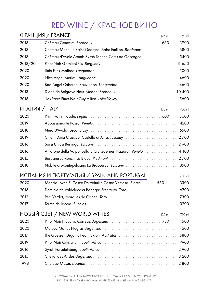# RED WINE / КРАСНОЕ ВИНО

|                | ФРАНЦИЯ / FRANCE                                            | 125 ml   | 750 ml |
|----------------|-------------------------------------------------------------|----------|--------|
| 2018           |                                                             |          | 3900   |
| 2018           | Chateau Macquin Saint-Georges -Saint-Emilion. Bordeaux      |          | 6800   |
| 2018           | Château d'Aydie Aramis Syrah Tannat. Cotes de Gascogne.     |          | 5400   |
| 2018/20        |                                                             |          | 11 650 |
| 2020           |                                                             |          | 5000   |
| 2020           |                                                             |          | 4600   |
| 2020           |                                                             |          | 4600   |
| 2013           |                                                             |          | 10 400 |
| 2018           |                                                             |          | 5600   |
| ИТАЛИЯ / ITALY |                                                             | 125 ml   | 750 ml |
| 2020           |                                                             |          | 3600   |
| 2019           |                                                             |          | 4200   |
| 2018           |                                                             |          | 6500   |
| 2019           | Chianti Ama Classico, Castello di Ama. Tuscany              |          | 12 700 |
| 2016           |                                                             |          | 12 900 |
| 2016           | Amarone della Valpolicella 3 Cru Guerrieri Rizzardi. Veneto |          | 14 100 |
| 2015           |                                                             |          | 12 700 |
| 2018           | Nobile di Montepulciano La Braccesca. Tuscany               |          | 8500   |
|                | ИСПАНИЯ И ПОРТУГАЛИЯ / SPAIN AND PORTUGAL                   |          | 750 ml |
| 2020           | Mencia Joven El Castro De Valtuille Castro Ventosa. Bierzo  | 550      | 3300   |
| 2016           |                                                             |          | 6700   |
| 2012           |                                                             |          | 7300   |
| 2017           |                                                             |          | 3200   |
|                | НОВЫЙ CBET / NEW WORLD WINES                                | $125$ ml | 750 ml |
| 2020           |                                                             |          | 4500   |
| 2020           |                                                             |          | 4500   |
| 2017           |                                                             |          | 5800   |
| 2019           |                                                             |          | 7900   |
| 2016           |                                                             |          | 12 900 |
| 2015           |                                                             |          | 13 200 |
| 1998           |                                                             |          | 12 800 |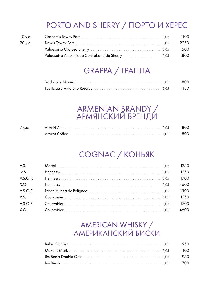# PORTO AND SHERRY / ПОРТО И ХЕРЕС

| 10 y.o. |  | 1100 |
|---------|--|------|
| 20 y.o. |  | 2250 |
|         |  | 1500 |
|         |  | 800  |

#### GRAPPA / ГРАППА

# ARMENIAN BRANDY /<br>АРМЯНСКИЙ БРЕНДИ

| $\sqrt{V}$ .O. | ArArAt Ani | 800  |
|----------------|------------|------|
|                |            | -800 |

# COGNAC / KOHbAK

| V.S.     | 1250 |
|----------|------|
| V.S.     | 1250 |
| V.S.O.P. | 1700 |
| X.O.     | 4600 |
| V.S.O.P. | 1300 |
| V.S.     | 1250 |
| V.S.O.P. | 1700 |
| X.O.     | 4600 |

#### AMERICAN WHISKY / **АМЕРИКАНСКИЙ ВИСКИ**

|  | 950    |
|--|--------|
|  | 1100   |
|  | - 9.50 |
|  | 700    |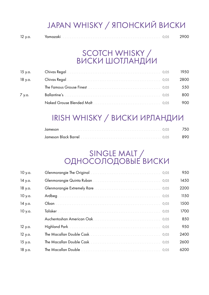# JAPAN WHISKY / ЯПОНСКИЙ ВИСКИ

| $\overline{\phantom{a}}$ |  |  |  |
|--------------------------|--|--|--|
|--------------------------|--|--|--|

#### SCOTCH WHISKY / ВИСКИ ШОТЛАНДИИ

| 15 у.о. |  | 1950. |
|---------|--|-------|
| 18 у.о. |  | 2800  |
|         |  | 550   |
| 7 y.o.  |  | 800   |
|         |  | 900.  |

# IRISH WHISKY / ВИСКИ ИРЛАНДИИ

#### SINGLE MALT / ОДНОСОЛОДОВЫЕ ВИСКИ

| 10 y.o. |  | 950  |
|---------|--|------|
| 14 y.o. |  | 1450 |
| 18 y.o. |  | 2200 |
| 10 y.o. |  | 1150 |
| 14 y.o. |  | 1500 |
| 10 y.o. |  | 1700 |
|         |  | 850  |
| 12 y.o. |  | 950  |
| 12 y.o. |  | 2400 |
| 15 y.o. |  | 2600 |
| 18 y.o. |  | 6200 |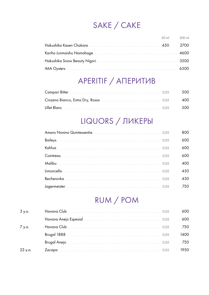# SAKE / CAKE

| 50 ml 300 ml |      |
|--------------|------|
|              | 2700 |
|              |      |
|              |      |
|              |      |

# APERITIF / AΠΕΡΜΤΜΒ

|  | - 500 |
|--|-------|
|  | 400   |
|  | - 500 |

#### LIQUORS / ЛИКЕРЫ

|  | 800 |
|--|-----|
|  | 600 |
|  | 600 |
|  | 600 |
|  | 400 |
|  | 450 |
|  | 450 |
|  | 750 |

# RUM / POM

| 3 y.o.  |  | ነበበ   |
|---------|--|-------|
|         |  | 600   |
| 7 y.o.  |  | 750.  |
|         |  | 1400. |
|         |  | 750   |
| 23 y.o. |  | 1950. |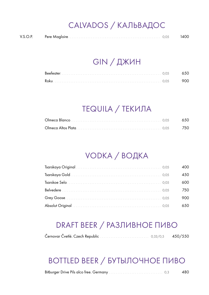# CALVADOS / КАЛЬВАДОС

| V.S.O.P. |  |  | 1400 |
|----------|--|--|------|
|----------|--|--|------|

#### GIN / ДЖИН

| Roku |  |
|------|--|

# TEQUILA / ТЕКИЛА

# VODKA / ВОДКА

|  | 400  |
|--|------|
|  | 450  |
|  | 600  |
|  | 750  |
|  | 900  |
|  | 650. |

#### DRAFT BEER / РАЗЛИВНОЕ ПИВО

#### BOTTLED BEER / БУТЫЛОЧНОЕ ПИВО

|  |  |  | 480 |
|--|--|--|-----|
|--|--|--|-----|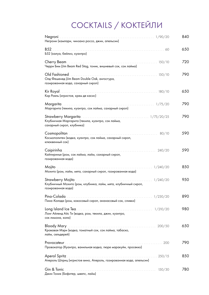# COCKTAILS / КОКТЕЙЛИ

| Негрони (кампари, чинзано россо, джин, апельсин)                                                  | 840 |
|---------------------------------------------------------------------------------------------------|-----|
| B52.<br>Б52 (калуа, бейлиз, куантро)                                                              | 650 |
| Черри Бим (Jim Beam Red Stag, тоник, вишневый сок, сок лайма)                                     | 720 |
| Олд Фешенед (Jim Beam Double Oak, ангостура,<br>газированная вода, сахарный сироп)                | 790 |
| Кир Рояль (игристое, крем де касис)                                                               | 650 |
| Маргарита (текила, куантро, сок лайма, сахарный сироп)                                            | 790 |
| Клубничная Маргарита (текила, куантро, сок лайма,<br>сахарный сироп, клубника)                    | 790 |
| 80/10<br>Космополитен (водка, куантро, сок лайма, сахарный сироп,<br>клюквенный сок)              | 590 |
| 240/20<br>Кайпиринья (ром, сок лайма, лайм, сахарный сироп,<br>газированная вода)                 | 590 |
| 1/240/20<br>Мохито (ром, лайм, мята, сахарный сироп, газированная вода)                           | 850 |
| 1/240/20<br>Клубничный Мохито (ром, клубника, лайм, мята, клубничный сироп,<br>газированная вода) | 950 |
| Пина-Колада (ром, кокосовый сироп, ананасовый сок, сливки)                                        | 890 |
| Лонг Айленд Айс Ти (водка, ром, текила, джин, куантро,<br>сок лимона, кола)                       | 980 |
| Кровавая Мэри (водка, томатный сок, сок лайма, табаско,<br>лайм, сельдерей)                       | 650 |
| Провокатор (Куантро, ванильная водка, пюре маракуйи, просекко)                                    | 790 |
| Aperol Spritz<br>Апероль Шприц (игристое вино, Апероль, газированная вода, апельсин)              | 850 |
| Джин Тоник (Бифитер, швепс, лайм)                                                                 | 780 |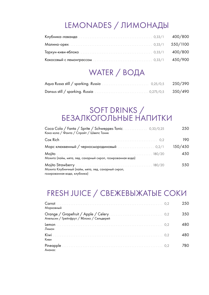# LEMONADES / ЛИМОНАДЫ

#### WATER / ВОДА

#### SOFT DRINKS / БЕЗАЛКОГОЛЬНЫЕ НАПИТКИ

| Кока кола / Фанта / Спрайт / Швепс Тоник                                            | 250.    |
|-------------------------------------------------------------------------------------|---------|
|                                                                                     | 190.    |
|                                                                                     | 150/450 |
| Мохито (лайм, мята, лед, сахарный сироп, газированная вода)                         | 450     |
| Мохито Клубничный (лайм, мята, лед, сахарный сироп,<br>газированная вода, клубника) | 550.    |

#### FRESH JUICE / СВЕЖЕВЫЖАТЫЕ СОКИ

| Морковный                                 | 250  |
|-------------------------------------------|------|
| Апельсин / Грейпфрут / Яблоко / Сельдерей | 350. |
| Лимон                                     | 480. |
| Киви                                      | 480. |
| Ананас                                    | 780. |